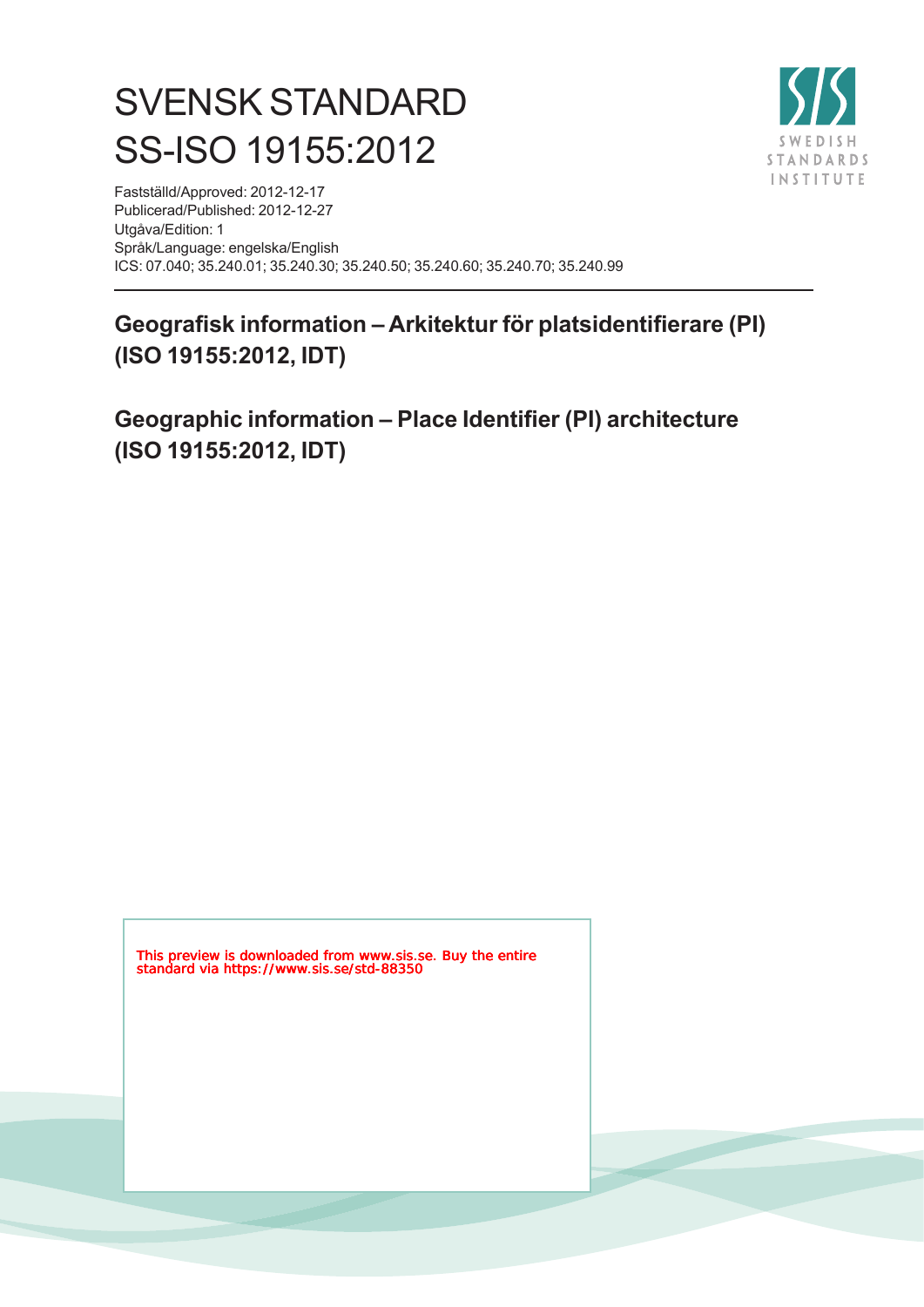# SVENSK STANDARD SS-ISO 19155:2012



Fastställd/Approved: 2012-12-17 Publicerad/Published: 2012-12-27 Utgåva/Edition: 1 Språk/Language: engelska/English ICS: 07.040; 35.240.01; 35.240.30; 35.240.50; 35.240.60; 35.240.70; 35.240.99

**Geografisk information – Arkitektur för platsidentifierare (PI) (ISO 19155:2012, IDT)**

**Geographic information – Place Identifier (PI) architecture (ISO 19155:2012, IDT)**

This preview is downloaded from www.sis.se. Buy the entire standard via https://www.sis.se/std-88350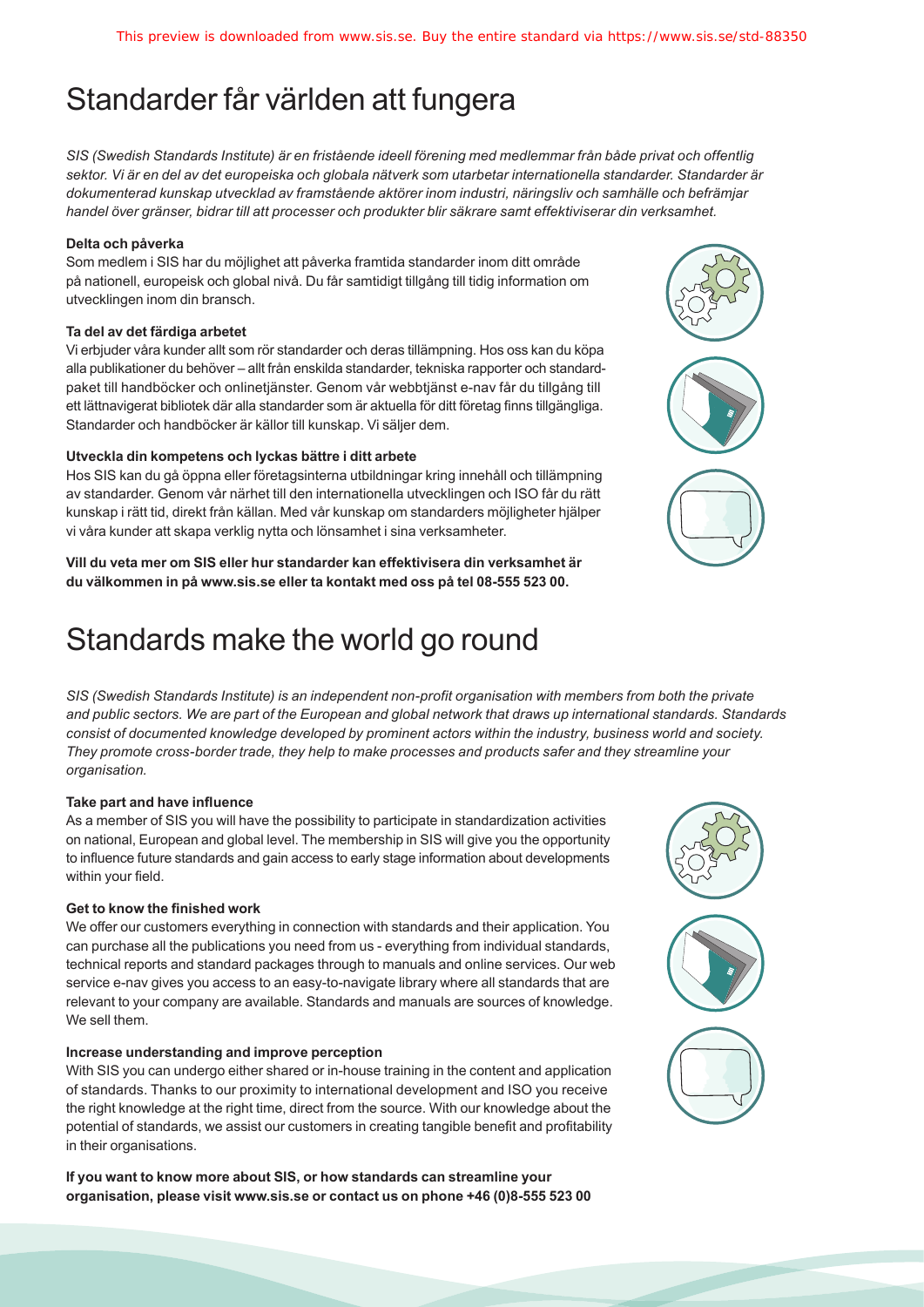## Standarder får världen att fungera

*SIS (Swedish Standards Institute) är en fristående ideell förening med medlemmar från både privat och offentlig sektor. Vi är en del av det europeiska och globala nätverk som utarbetar internationella standarder. Standarder är dokumenterad kunskap utvecklad av framstående aktörer inom industri, näringsliv och samhälle och befrämjar handel över gränser, bidrar till att processer och produkter blir säkrare samt effektiviserar din verksamhet.* 

#### **Delta och påverka**

Som medlem i SIS har du möjlighet att påverka framtida standarder inom ditt område på nationell, europeisk och global nivå. Du får samtidigt tillgång till tidig information om utvecklingen inom din bransch.

#### **Ta del av det färdiga arbetet**

Vi erbjuder våra kunder allt som rör standarder och deras tillämpning. Hos oss kan du köpa alla publikationer du behöver – allt från enskilda standarder, tekniska rapporter och standardpaket till handböcker och onlinetjänster. Genom vår webbtjänst e-nav får du tillgång till ett lättnavigerat bibliotek där alla standarder som är aktuella för ditt företag finns tillgängliga. Standarder och handböcker är källor till kunskap. Vi säljer dem.

#### **Utveckla din kompetens och lyckas bättre i ditt arbete**

Hos SIS kan du gå öppna eller företagsinterna utbildningar kring innehåll och tillämpning av standarder. Genom vår närhet till den internationella utvecklingen och ISO får du rätt kunskap i rätt tid, direkt från källan. Med vår kunskap om standarders möjligheter hjälper vi våra kunder att skapa verklig nytta och lönsamhet i sina verksamheter.

**Vill du veta mer om SIS eller hur standarder kan effektivisera din verksamhet är du välkommen in på www.sis.se eller ta kontakt med oss på tel 08-555 523 00.**

## Standards make the world go round

*SIS (Swedish Standards Institute) is an independent non-profit organisation with members from both the private and public sectors. We are part of the European and global network that draws up international standards. Standards consist of documented knowledge developed by prominent actors within the industry, business world and society. They promote cross-border trade, they help to make processes and products safer and they streamline your organisation.*

#### **Take part and have influence**

As a member of SIS you will have the possibility to participate in standardization activities on national, European and global level. The membership in SIS will give you the opportunity to influence future standards and gain access to early stage information about developments within your field.

#### **Get to know the finished work**

We offer our customers everything in connection with standards and their application. You can purchase all the publications you need from us - everything from individual standards, technical reports and standard packages through to manuals and online services. Our web service e-nav gives you access to an easy-to-navigate library where all standards that are relevant to your company are available. Standards and manuals are sources of knowledge. We sell them.

#### **Increase understanding and improve perception**

With SIS you can undergo either shared or in-house training in the content and application of standards. Thanks to our proximity to international development and ISO you receive the right knowledge at the right time, direct from the source. With our knowledge about the potential of standards, we assist our customers in creating tangible benefit and profitability in their organisations.

**If you want to know more about SIS, or how standards can streamline your organisation, please visit www.sis.se or contact us on phone +46 (0)8-555 523 00**



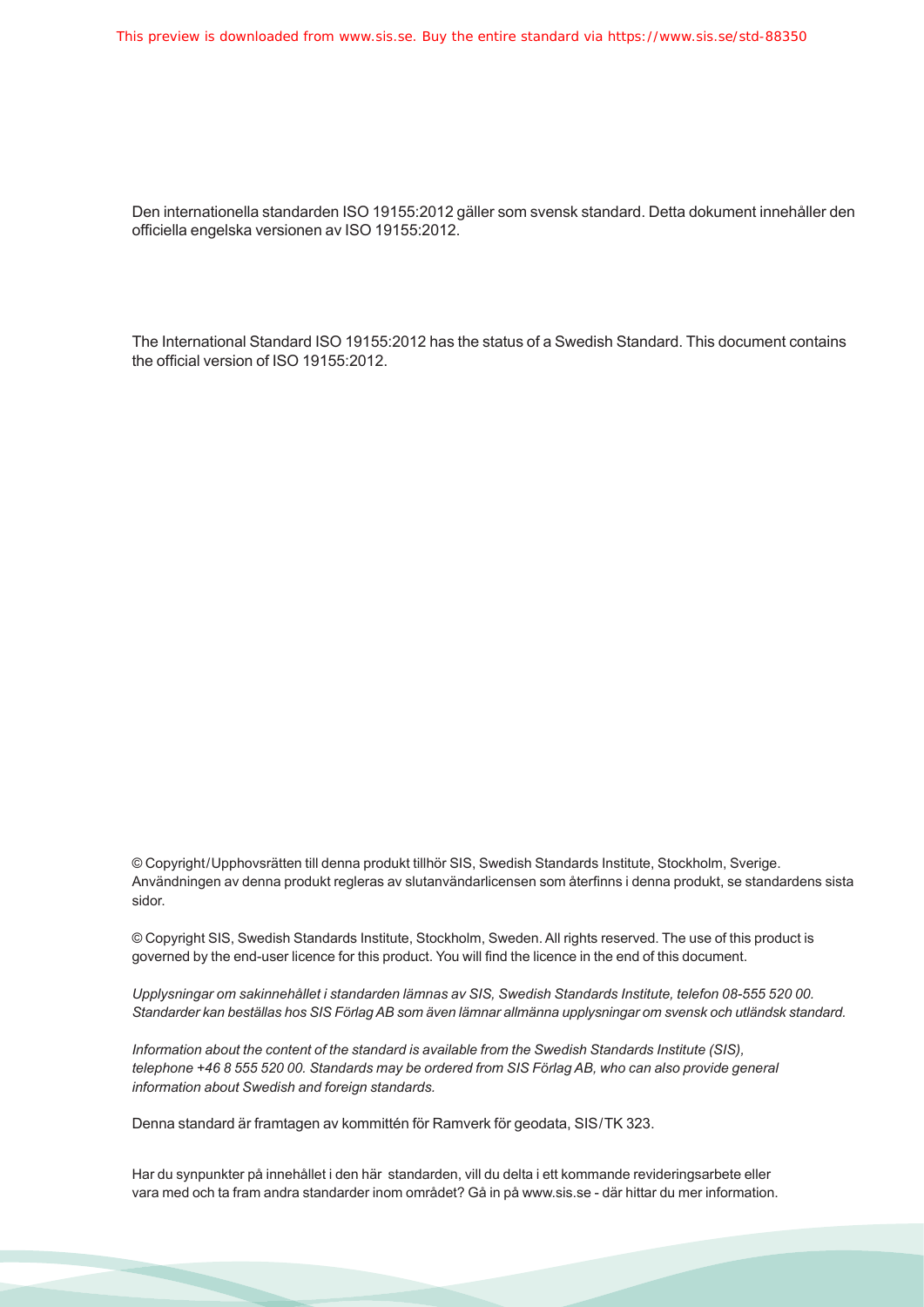Den internationella standarden ISO 19155:2012 gäller som svensk standard. Detta dokument innehåller den officiella engelska versionen av ISO 19155:2012.

The International Standard ISO 19155:2012 has the status of a Swedish Standard. This document contains the official version of ISO 19155:2012.

© Copyright / Upphovsrätten till denna produkt tillhör SIS, Swedish Standards Institute, Stockholm, Sverige. Användningen av denna produkt regleras av slutanvändarlicensen som återfinns i denna produkt, se standardens sista sidor.

© Copyright SIS, Swedish Standards Institute, Stockholm, Sweden. All rights reserved. The use of this product is governed by the end-user licence for this product. You will find the licence in the end of this document.

*Upplysningar om sakinnehållet i standarden lämnas av SIS, Swedish Standards Institute, telefon 08-555 520 00. Standarder kan beställas hos SIS Förlag AB som även lämnar allmänna upplysningar om svensk och utländsk standard.*

*Information about the content of the standard is available from the Swedish Standards Institute (SIS), telephone +46 8 555 520 00. Standards may be ordered from SIS Förlag AB, who can also provide general information about Swedish and foreign standards.*

Denna standard är framtagen av kommittén för Ramverk för geodata, SIS / TK 323.

Har du synpunkter på innehållet i den här standarden, vill du delta i ett kommande revideringsarbete eller vara med och ta fram andra standarder inom området? Gå in på www.sis.se - där hittar du mer information.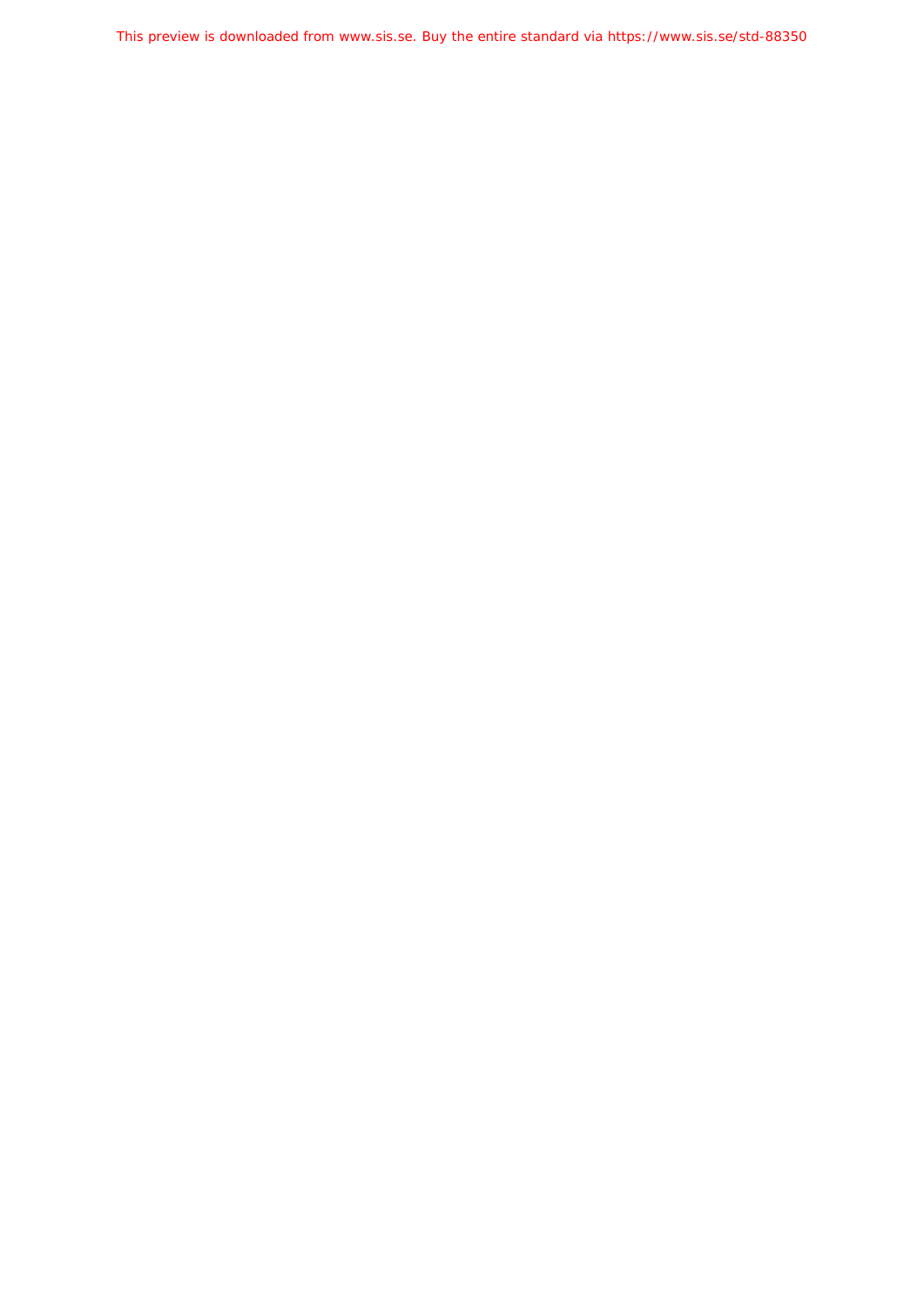This preview is downloaded from www.sis.se. Buy the entire standard via https://www.sis.se/std-88350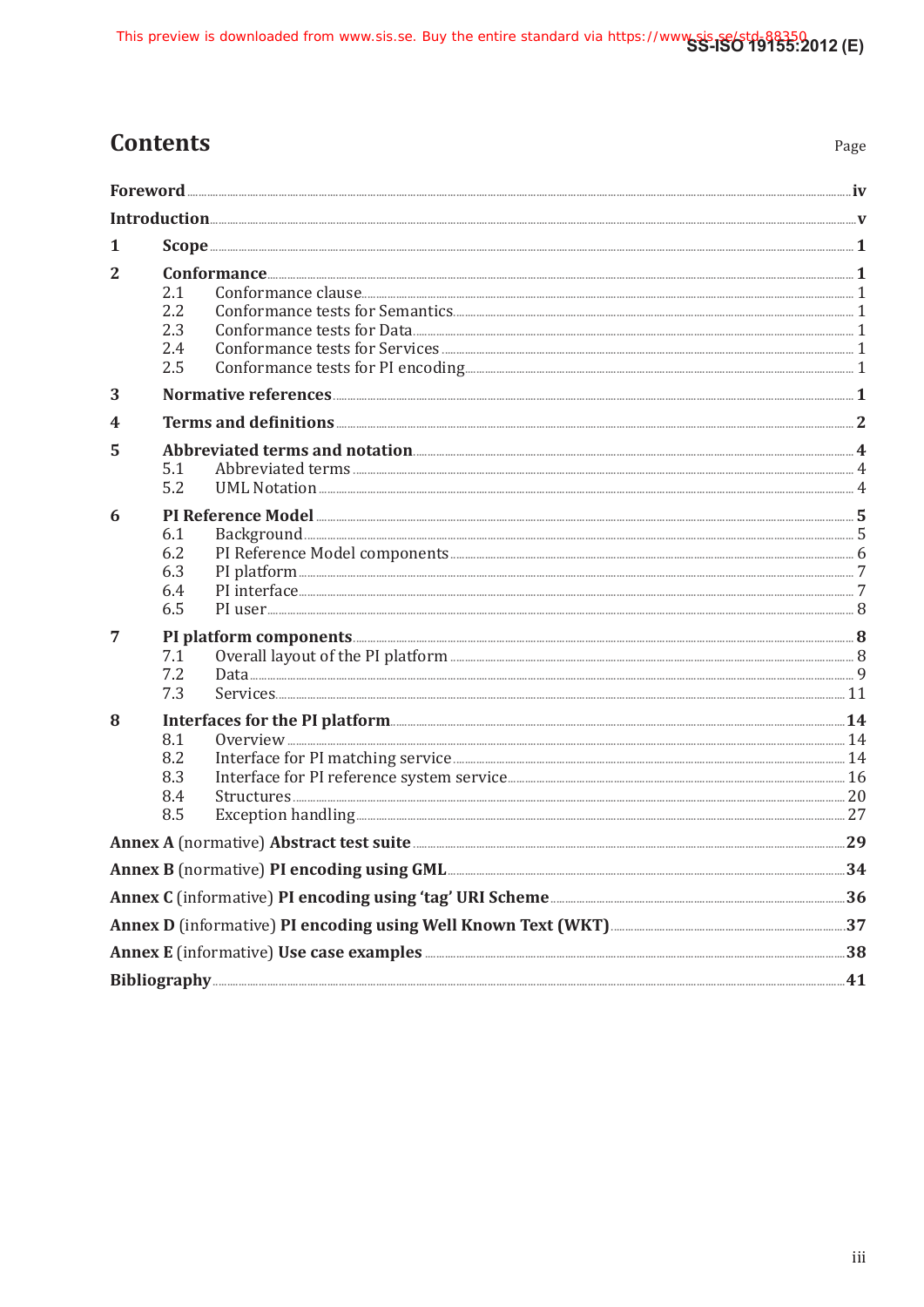| 1 |                                                                                                                                                                                                                                                                         |    |
|---|-------------------------------------------------------------------------------------------------------------------------------------------------------------------------------------------------------------------------------------------------------------------------|----|
| 2 | Conformance clause 100 million and 200 million and 200 million and 200 million and 200 million and 200 million and 200 million and 200 million and 200 million and 200 million and 200 million and 200 million and 200 million<br>2.1<br>2.2<br>2.3<br>2.4<br>2.5       |    |
| 3 |                                                                                                                                                                                                                                                                         |    |
| 4 |                                                                                                                                                                                                                                                                         |    |
| 5 | 5.1<br>5.2                                                                                                                                                                                                                                                              |    |
| 6 | PI Reference Model <b>Exercise Structure Contract Structure Structure Contract Structure Structure Structure Structure Structure Structure Structure Structure Structure Structure Structure Structure Structure Structure Struc</b><br>6.1<br>6.2<br>6.3<br>6.4<br>6.5 |    |
| 7 | 7.1<br>7.2<br>7.3                                                                                                                                                                                                                                                       |    |
| 8 | 8.1<br>Interface for PI matching service <b>Constitution and Constanting Constanting 14</b><br>8.2<br>8.3<br>Structures 20<br>8.4<br>8.5                                                                                                                                |    |
|   | Annex A (normative) Abstract test suite <b>Election Communities</b> 29                                                                                                                                                                                                  |    |
|   |                                                                                                                                                                                                                                                                         | 34 |
|   |                                                                                                                                                                                                                                                                         |    |
|   |                                                                                                                                                                                                                                                                         |    |
|   | Annex E (informative) Use case examples <b>Examples</b> 28                                                                                                                                                                                                              |    |
|   | Bibliography 21 and 21                                                                                                                                                                                                                                                  |    |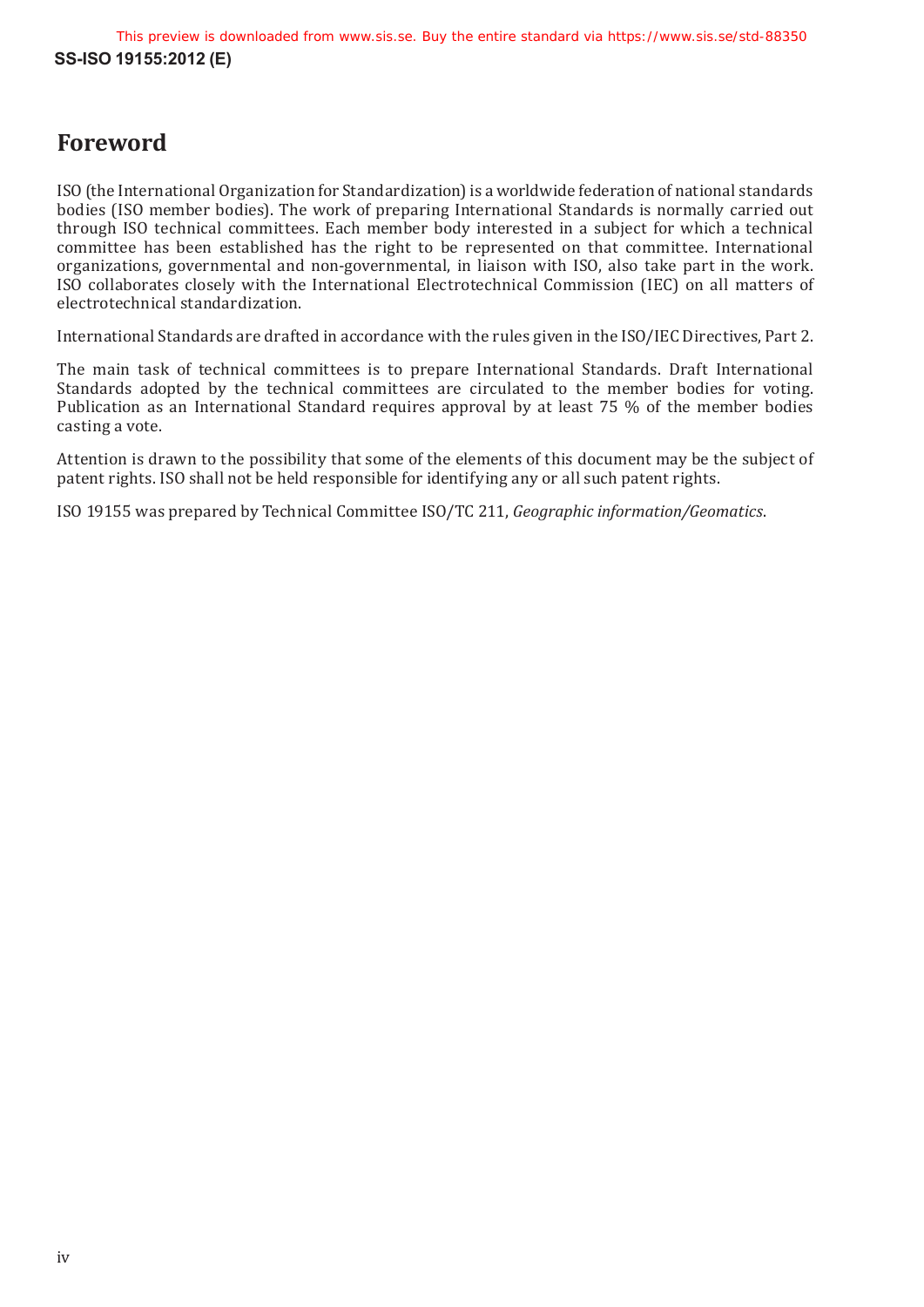## **Foreword**

ISO (the International Organization for Standardization) is a worldwide federation of national standards bodies (ISO member bodies). The work of preparing International Standards is normally carried out through ISO technical committees. Each member body interested in a subject for which a technical committee has been established has the right to be represented on that committee. International organizations, governmental and non-governmental, in liaison with ISO, also take part in the work. ISO collaborates closely with the International Electrotechnical Commission (IEC) on all matters of electrotechnical standardization.

International Standards are drafted in accordance with the rules given in the ISO/IEC Directives, Part 2.

The main task of technical committees is to prepare International Standards. Draft International Standards adopted by the technical committees are circulated to the member bodies for voting. Publication as an International Standard requires approval by at least 75 % of the member bodies casting a vote.

Attention is drawn to the possibility that some of the elements of this document may be the subject of patent rights. ISO shall not be held responsible for identifying any or all such patent rights.

ISO 19155 was prepared by Technical Committee ISO/TC 211, *Geographic information/Geomatics*.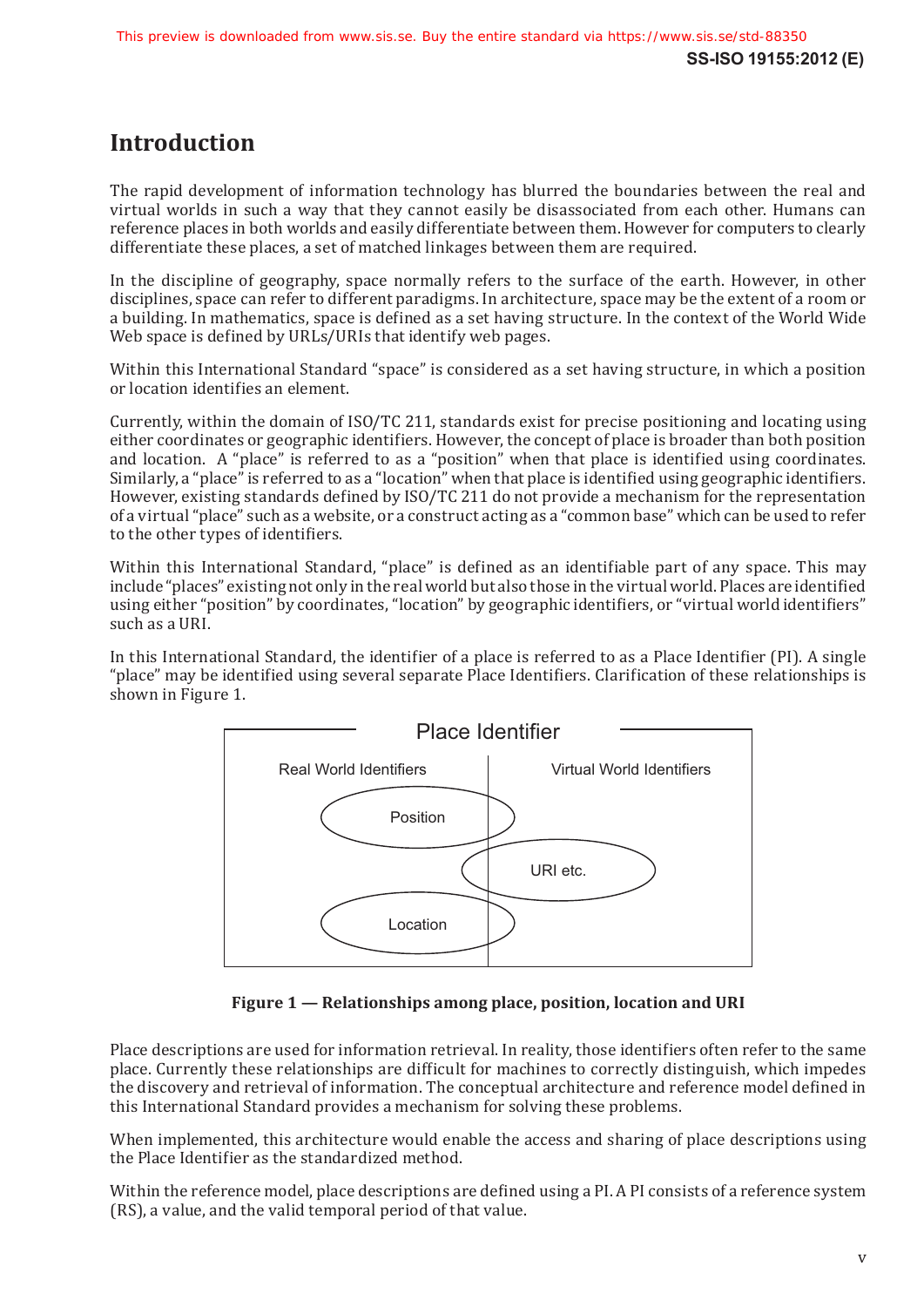## **Introduction**

The rapid development of information technology has blurred the boundaries between the real and virtual worlds in such a way that they cannot easily be disassociated from each other. Humans can reference places in both worlds and easily differentiate between them. However for computers to clearly differentiate these places, a set of matched linkages between them are required.

In the discipline of geography, space normally refers to the surface of the earth. However, in other disciplines, space can refer to different paradigms. In architecture, space may be the extent of a room or a building. In mathematics, space is defined as a set having structure. In the context of the World Wide Web space is defined by URLs/URIs that identify web pages.

Within this International Standard "space" is considered as a set having structure, in which a position or location identifies an element.

Currently, within the domain of ISO/TC 211, standards exist for precise positioning and locating using either coordinates or geographic identifiers. However, the concept of place is broader than both position and location. A "place" is referred to as a "position" when that place is identified using coordinates. Similarly, a "place" is referred to as a "location" when that place is identified using geographic identifiers. However, existing standards defined by ISO/TC 211 do not provide a mechanism for the representation of a virtual "place" such as a website, or a construct acting as a "common base" which can be used to refer to the other types of identifiers.

Within this International Standard, "place" is defined as an identifiable part of any space. This may include "places" existing not only in the real world but also those in the virtual world. Places are identified using either "position" by coordinates, "location" by geographic identifiers, or "virtual world identifiers" such as a URI.

In this International Standard, the identifier of a place is referred to as a Place Identifier (PI). A single "place" may be identified using several separate Place Identifiers. Clarification of these relationships is shown in Figure 1.



**Figure 1 — Relationships among place, position, location and URI**

Place descriptions are used for information retrieval. In reality, those identifiers often refer to the same place. Currently these relationships are difficult for machines to correctly distinguish, which impedes the discovery and retrieval of information. The conceptual architecture and reference model defined in this International Standard provides a mechanism for solving these problems.

When implemented, this architecture would enable the access and sharing of place descriptions using the Place Identifier as the standardized method.

Within the reference model, place descriptions are defined using a PI. A PI consists of a reference system (RS), a value, and the valid temporal period of that value.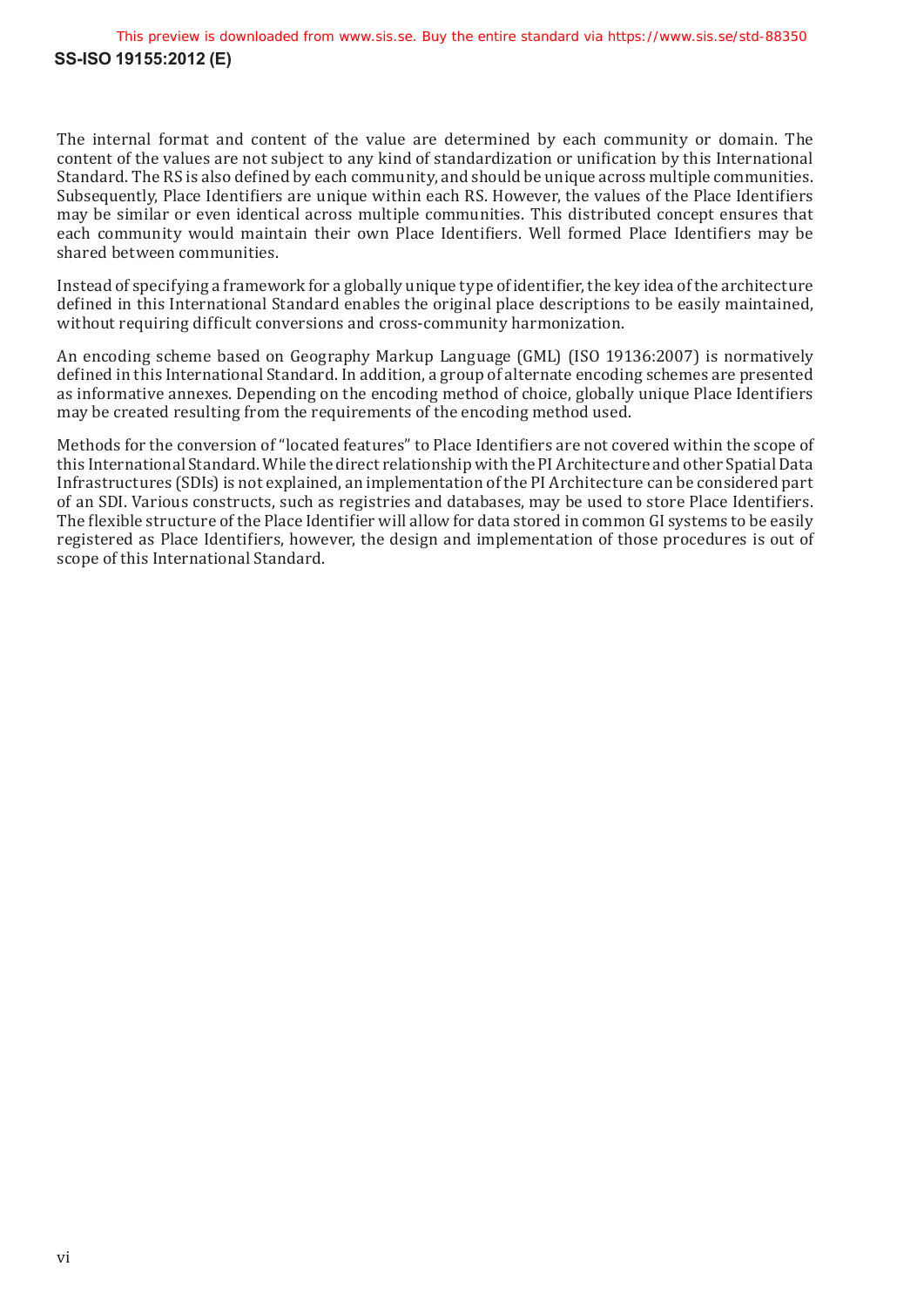The internal format and content of the value are determined by each community or domain. The content of the values are not subject to any kind of standardization or unification by this International Standard. The RS is also defined by each community, and should be unique across multiple communities. Subsequently, Place Identifiers are unique within each RS. However, the values of the Place Identifiers may be similar or even identical across multiple communities. This distributed concept ensures that each community would maintain their own Place Identifiers. Well formed Place Identifiers may be shared between communities.

Instead of specifying a framework for a globally unique type of identifier, the key idea of the architecture defined in this International Standard enables the original place descriptions to be easily maintained, without requiring difficult conversions and cross-community harmonization.

An encoding scheme based on Geography Markup Language (GML) (ISO 19136:2007) is normatively defined in this International Standard. In addition, a group of alternate encoding schemes are presented as informative annexes. Depending on the encoding method of choice, globally unique Place Identifiers may be created resulting from the requirements of the encoding method used.

Methods for the conversion of "located features" to Place Identifiers are not covered within the scope of this International Standard. While the direct relationship with the PI Architecture and other Spatial Data Infrastructures (SDIs) is not explained, an implementation of the PI Architecture can be considered part of an SDI. Various constructs, such as registries and databases, may be used to store Place Identifiers. The flexible structure of the Place Identifier will allow for data stored in common GI systems to be easily registered as Place Identifiers, however, the design and implementation of those procedures is out of scope of this International Standard.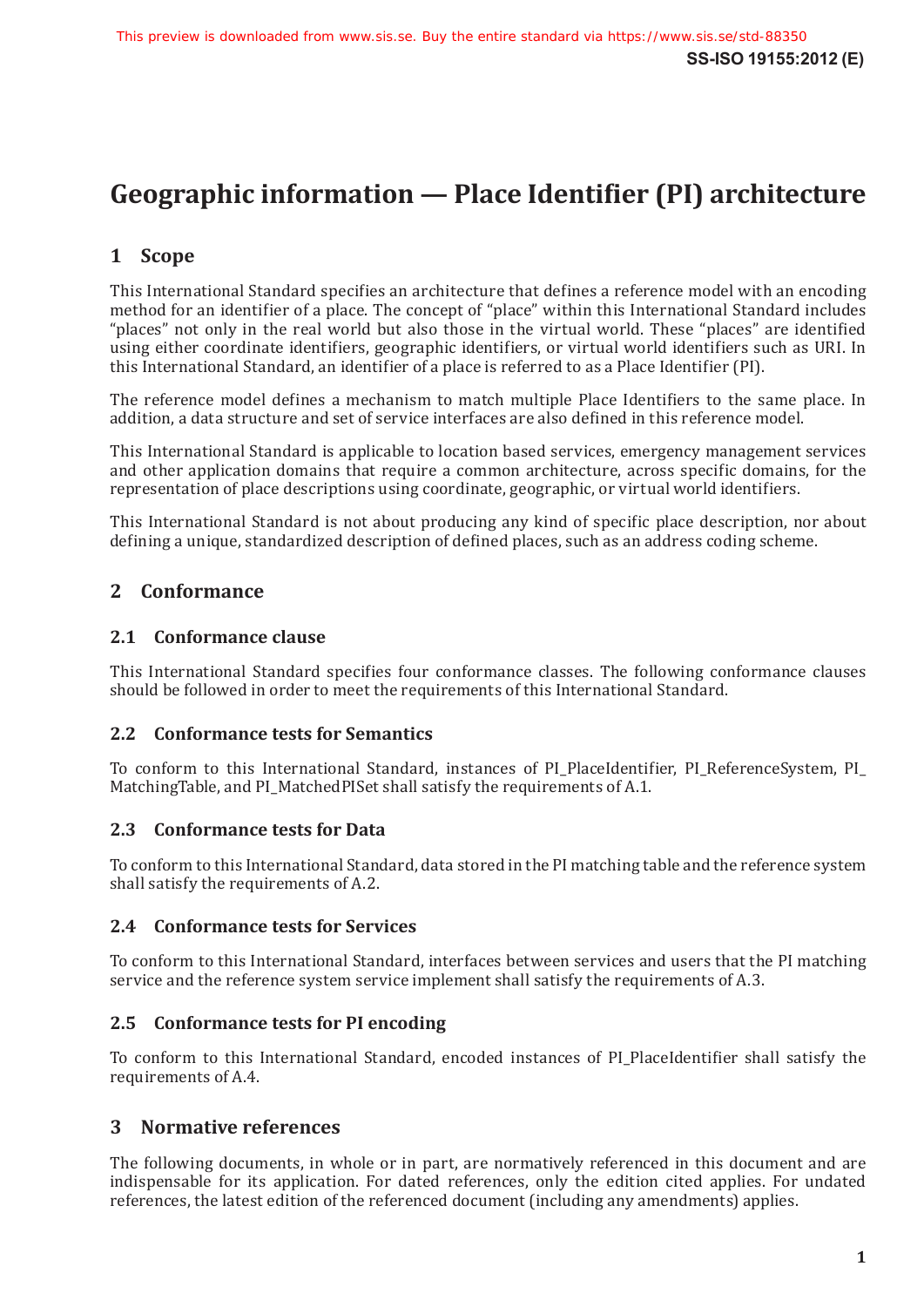## **Geographic information — Place Identifier (PI) architecture**

### **1 Scope**

This International Standard specifies an architecture that defines a reference model with an encoding method for an identifier of a place. The concept of "place" within this International Standard includes "places" not only in the real world but also those in the virtual world. These "places" are identified using either coordinate identifiers, geographic identifiers, or virtual world identifiers such as URI. In this International Standard, an identifier of a place is referred to as a Place Identifier (PI).

The reference model defines a mechanism to match multiple Place Identifiers to the same place. In addition, a data structure and set of service interfaces are also defined in this reference model.

This International Standard is applicable to location based services, emergency management services and other application domains that require a common architecture, across specific domains, for the representation of place descriptions using coordinate, geographic, or virtual world identifiers.

This International Standard is not about producing any kind of specific place description, nor about defining a unique, standardized description of defined places, such as an address coding scheme.

### **2 Conformance**

#### **2.1 Conformance clause**

This International Standard specifies four conformance classes. The following conformance clauses should be followed in order to meet the requirements of this International Standard.

#### **2.2 Conformance tests for Semantics**

To conform to this International Standard, instances of PI\_PlaceIdentifier, PI\_ReferenceSystem, PI\_ MatchingTable, and PI\_MatchedPISet shall satisfy the requirements of A.1.

#### **2.3 Conformance tests for Data**

To conform to this International Standard, data stored in the PI matching table and the reference system shall satisfy the requirements of A.2.

#### **2.4 Conformance tests for Services**

To conform to this International Standard, interfaces between services and users that the PI matching service and the reference system service implement shall satisfy the requirements of A.3.

#### **2.5 Conformance tests for PI encoding**

To conform to this International Standard, encoded instances of PI\_PlaceIdentifier shall satisfy the requirements of A.4.

#### **3 Normative references**

The following documents, in whole or in part, are normatively referenced in this document and are indispensable for its application. For dated references, only the edition cited applies. For undated references, the latest edition of the referenced document (including any amendments) applies.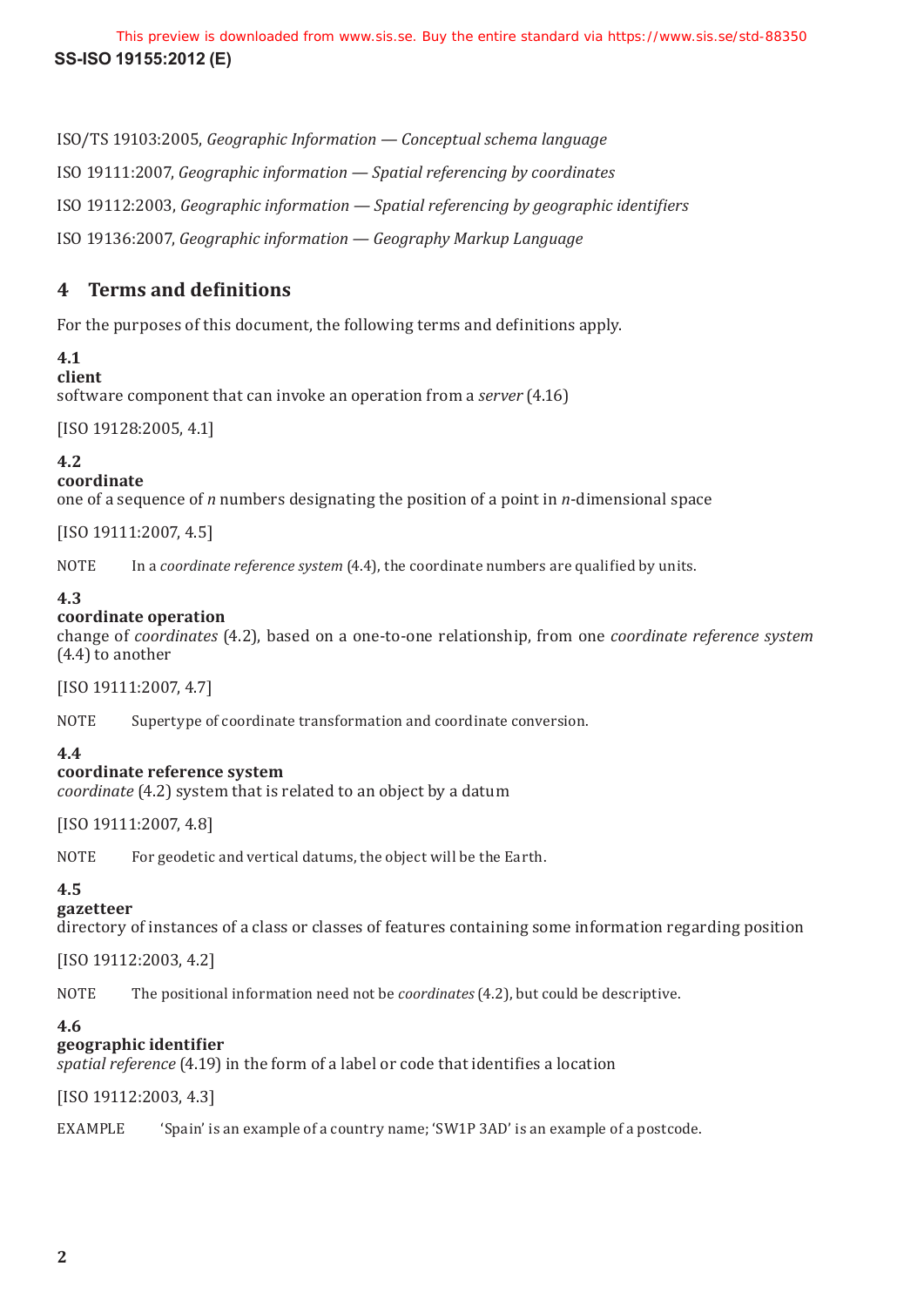**ISO 19155:2012(E) SS-ISO 19155:2012 (E)** This preview is downloaded from www.sis.se. Buy the entire standard via https://www.sis.se/std-88350

ISO/TS 19103:2005, *Geographic Information — Conceptual schema language*

ISO 19111:2007, *Geographic information — Spatial referencing by coordinates*

ISO 19112:2003, *Geographic information — Spatial referencing by geographic identifiers*

ISO 19136:2007, *Geographic information — Geography Markup Language*

### **4 Terms and definitions**

For the purposes of this document, the following terms and definitions apply.

#### **4.1**

#### **client**

software component that can invoke an operation from a *server* (4.16)

[ISO 19128:2005, 4.1]

#### **4.2**

#### **coordinate**

one of a sequence of *n* numbers designating the position of a point in *n*-dimensional space

[ISO 19111:2007, 4.5]

NOTE In a *coordinate reference system* (4.4), the coordinate numbers are qualified by units.

#### **4.3**

#### **coordinate operation**

change of *coordinates* (4.2), based on a one-to-one relationship, from one *coordinate reference system* (4.4) to another

[ISO 19111:2007, 4.7]

NOTE Supertype of coordinate transformation and coordinate conversion.

#### **4.4**

#### **coordinate reference system**

*coordinate* (4.2) system that is related to an object by a datum

[ISO 19111:2007, 4.8]

NOTE For geodetic and vertical datums, the object will be the Earth.

#### **4.5**

#### **gazetteer**

directory of instances of a class or classes of features containing some information regarding position

[ISO 19112:2003, 4.2]

NOTE The positional information need not be *coordinates* (4.2), but could be descriptive.

#### **4.6**

#### **geographic identifier**

*spatial reference* (4.19) in the form of a label or code that identifies a location

[ISO 19112:2003, 4.3]

EXAMPLE 'Spain' is an example of a country name; 'SW1P 3AD' is an example of a postcode.